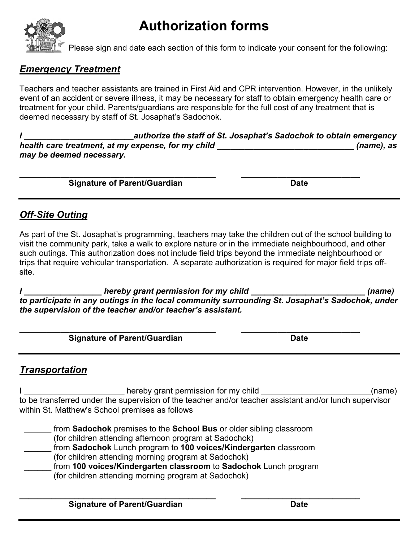# **Authorization forms**



Please sign and date each section of this form to indicate your consent for the following:

#### *Emergency Treatment*

Teachers and teacher assistants are trained in First Aid and CPR intervention. However, in the unlikely event of an accident or severe illness, it may be necessary for staff to obtain emergency health care or treatment for your child. Parents/guardians are responsible for the full cost of any treatment that is deemed necessary by staff of St. Josaphat's Sadochok.

*I \_\_\_\_\_\_\_\_\_\_\_\_\_\_\_\_\_\_\_\_\_\_\_\_authorize the staff of St. Josaphat's Sadochok to obtain emergency health care treatment, at my expense, for my child \_\_\_\_\_\_\_\_\_\_\_\_\_\_\_\_\_\_\_\_\_\_\_\_\_\_\_\_\_\_ (name), as may be deemed necessary.*

**\_\_\_\_\_\_\_\_\_\_\_\_\_\_\_\_\_\_\_\_\_\_\_\_\_\_\_\_\_\_\_\_\_\_\_\_\_\_\_\_\_\_\_ \_\_\_\_\_\_\_\_\_\_\_\_\_\_\_\_\_\_\_\_\_\_\_\_\_\_**

**Signature of Parent/Guardian Date Date** 

#### *Off-Site Outing*

As part of the St. Josaphat's programming, teachers may take the children out of the school building to visit the community park, take a walk to explore nature or in the immediate neighbourhood, and other such outings. This authorization does not include field trips beyond the immediate neighbourhood or trips that require vehicular transportation. A separate authorization is required for major field trips offsite.

*I \_\_\_\_\_\_\_\_\_\_\_\_\_\_\_\_\_ hereby grant permission for my child \_\_\_\_\_\_\_\_\_\_\_\_\_\_\_\_\_\_\_\_\_\_\_\_\_ (name) to participate in any outings in the local community surrounding St. Josaphat's Sadochok, under the supervision of the teacher and/or teacher's assistant.*

**\_\_\_\_\_\_\_\_\_\_\_\_\_\_\_\_\_\_\_\_\_\_\_\_\_\_\_\_\_\_\_\_\_\_\_\_\_\_\_\_\_\_\_ \_\_\_\_\_\_\_\_\_\_\_\_\_\_\_\_\_\_\_\_\_\_\_\_\_\_ Signature of Parent/Guardian Date Date** 

### *Transportation*

I \_\_\_\_\_\_\_\_\_\_\_\_\_\_\_\_\_\_\_\_\_\_\_\_\_\_ hereby grant permission for my child \_\_\_\_\_\_\_\_\_\_\_\_\_\_\_\_\_\_\_\_\_\_\_\_\_\_\_\_(name) to be transferred under the supervision of the teacher and/or teacher assistant and/or lunch supervisor within St. Matthew's School premises as follows

 \_\_\_\_\_\_ from **Sadochok** premises to the **School Bus** or older sibling classroom (for children attending afternoon program at Sadochok)

\_\_\_\_\_\_ from **Sadochok** Lunch program to **100 voices/Kindergarten** classroom

(for children attending morning program at Sadochok)

 \_\_\_\_\_\_ from **100 voices/Kindergarten classroom** to **Sadochok** Lunch program (for children attending morning program at Sadochok)

**\_\_\_\_\_\_\_\_\_\_\_\_\_\_\_\_\_\_\_\_\_\_\_\_\_\_\_\_\_\_\_\_\_\_\_\_\_\_\_\_\_\_\_ \_\_\_\_\_\_\_\_\_\_\_\_\_\_\_\_\_\_\_\_\_\_\_\_\_\_ Signature of Parent/Guardian Date Date Date**